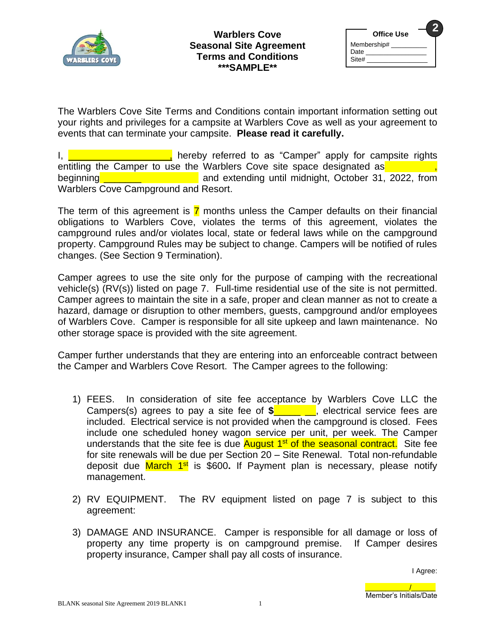

| <b>Office Use</b>            |  |
|------------------------------|--|
| Membership#<br>Date<br>Site# |  |

The Warblers Cove Site Terms and Conditions contain important information setting out your rights and privileges for a campsite at Warblers Cove as well as your agreement to events that can terminate your campsite. **Please read it carefully.**

I, **Example 20** is the control of the end of the end of the control of the control of the control of the rights entitling the Camper to use the Warblers Cove site space designated as beginning **with the same of the same of the same of the same of the same of the same of the same of the same of the same of the same of the same of the same of the same of the same of the same of the same of the same of th** Warblers Cove Campground and Resort.

The term of this agreement is  $\overline{7}$  months unless the Camper defaults on their financial obligations to Warblers Cove, violates the terms of this agreement, violates the campground rules and/or violates local, state or federal laws while on the campground property. Campground Rules may be subject to change. Campers will be notified of rules changes. (See Section 9 Termination).

Camper agrees to use the site only for the purpose of camping with the recreational vehicle(s) (RV(s)) listed on page 7. Full-time residential use of the site is not permitted. Camper agrees to maintain the site in a safe, proper and clean manner as not to create a hazard, damage or disruption to other members, guests, campground and/or employees of Warblers Cove. Camper is responsible for all site upkeep and lawn maintenance. No other storage space is provided with the site agreement.

Camper further understands that they are entering into an enforceable contract between the Camper and Warblers Cove Resort. The Camper agrees to the following:

- 1) FEES. In consideration of site fee acceptance by Warblers Cove LLC the Campers(s) agrees to pay a site fee of **\$**\_\_\_\_\_ \_\_, electrical service fees are included. Electrical service is not provided when the campground is closed. Fees include one scheduled honey wagon service per unit, per week. The Camper understands that the site fee is due **August 1<sup>st</sup> of the seasonal contract.** Site fee for site renewals will be due per Section 20 – Site Renewal. Total non-refundable deposit due *March* 1<sup>st</sup> is \$600. If Payment plan is necessary, please notify management.
- 2) RV EQUIPMENT. The RV equipment listed on page 7 is subject to this agreement:
- 3) DAMAGE AND INSURANCE. Camper is responsible for all damage or loss of property any time property is on campground premise. If Camper desires property insurance, Camper shall pay all costs of insurance.

\_\_\_\_\_\_\_\_\_\_\_/\_\_\_\_\_\_ Member's Initials/Date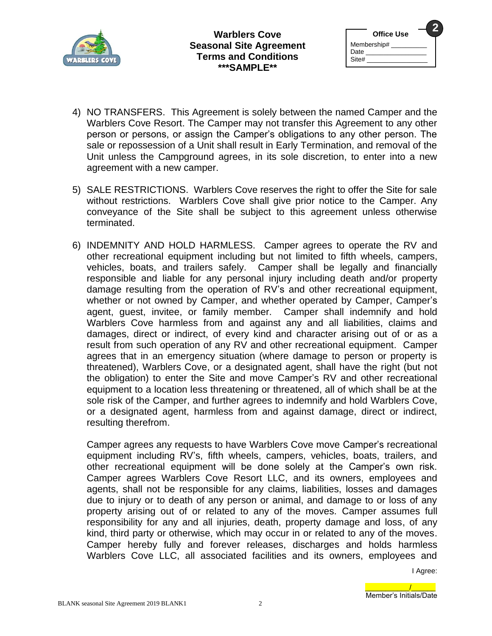

| <b>Office Use</b>            |  |
|------------------------------|--|
| Membership#<br>Date<br>Site# |  |

- 4) NO TRANSFERS. This Agreement is solely between the named Camper and the Warblers Cove Resort. The Camper may not transfer this Agreement to any other person or persons, or assign the Camper's obligations to any other person. The sale or repossession of a Unit shall result in Early Termination, and removal of the Unit unless the Campground agrees, in its sole discretion, to enter into a new agreement with a new camper.
- 5) SALE RESTRICTIONS. Warblers Cove reserves the right to offer the Site for sale without restrictions. Warblers Cove shall give prior notice to the Camper. Any conveyance of the Site shall be subject to this agreement unless otherwise terminated.
- 6) INDEMNITY AND HOLD HARMLESS. Camper agrees to operate the RV and other recreational equipment including but not limited to fifth wheels, campers, vehicles, boats, and trailers safely. Camper shall be legally and financially responsible and liable for any personal injury including death and/or property damage resulting from the operation of RV's and other recreational equipment, whether or not owned by Camper, and whether operated by Camper, Camper's agent, guest, invitee, or family member. Camper shall indemnify and hold Warblers Cove harmless from and against any and all liabilities, claims and damages, direct or indirect, of every kind and character arising out of or as a result from such operation of any RV and other recreational equipment. Camper agrees that in an emergency situation (where damage to person or property is threatened), Warblers Cove, or a designated agent, shall have the right (but not the obligation) to enter the Site and move Camper's RV and other recreational equipment to a location less threatening or threatened, all of which shall be at the sole risk of the Camper, and further agrees to indemnify and hold Warblers Cove, or a designated agent, harmless from and against damage, direct or indirect, resulting therefrom.

Camper agrees any requests to have Warblers Cove move Camper's recreational equipment including RV's, fifth wheels, campers, vehicles, boats, trailers, and other recreational equipment will be done solely at the Camper's own risk. Camper agrees Warblers Cove Resort LLC, and its owners, employees and agents, shall not be responsible for any claims, liabilities, losses and damages due to injury or to death of any person or animal, and damage to or loss of any property arising out of or related to any of the moves. Camper assumes full responsibility for any and all injuries, death, property damage and loss, of any kind, third party or otherwise, which may occur in or related to any of the moves. Camper hereby fully and forever releases, discharges and holds harmless Warblers Cove LLC, all associated facilities and its owners, employees and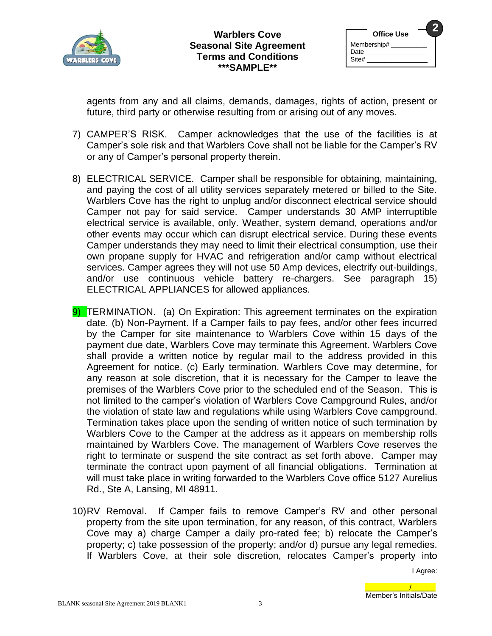

| <b>Office Use</b>            |  |
|------------------------------|--|
| Membership#<br>Date<br>Site# |  |

agents from any and all claims, demands, damages, rights of action, present or future, third party or otherwise resulting from or arising out of any moves.

- 7) CAMPER'S RISK. Camper acknowledges that the use of the facilities is at Camper's sole risk and that Warblers Cove shall not be liable for the Camper's RV or any of Camper's personal property therein.
- 8) ELECTRICAL SERVICE. Camper shall be responsible for obtaining, maintaining, and paying the cost of all utility services separately metered or billed to the Site. Warblers Cove has the right to unplug and/or disconnect electrical service should Camper not pay for said service. Camper understands 30 AMP interruptible electrical service is available, only. Weather, system demand, operations and/or other events may occur which can disrupt electrical service. During these events Camper understands they may need to limit their electrical consumption, use their own propane supply for HVAC and refrigeration and/or camp without electrical services. Camper agrees they will not use 50 Amp devices, electrify out-buildings, and/or use continuous vehicle battery re-chargers. See paragraph 15) ELECTRICAL APPLIANCES for allowed appliances.
- 9) TERMINATION. (a) On Expiration: This agreement terminates on the expiration date. (b) Non-Payment. If a Camper fails to pay fees, and/or other fees incurred by the Camper for site maintenance to Warblers Cove within 15 days of the payment due date, Warblers Cove may terminate this Agreement. Warblers Cove shall provide a written notice by regular mail to the address provided in this Agreement for notice. (c) Early termination. Warblers Cove may determine, for any reason at sole discretion, that it is necessary for the Camper to leave the premises of the Warblers Cove prior to the scheduled end of the Season. This is not limited to the camper's violation of Warblers Cove Campground Rules, and/or the violation of state law and regulations while using Warblers Cove campground. Termination takes place upon the sending of written notice of such termination by Warblers Cove to the Camper at the address as it appears on membership rolls maintained by Warblers Cove. The management of Warblers Cove reserves the right to terminate or suspend the site contract as set forth above. Camper may terminate the contract upon payment of all financial obligations. Termination at will must take place in writing forwarded to the Warblers Cove office 5127 Aurelius Rd., Ste A, Lansing, MI 48911.
- 10)RV Removal. If Camper fails to remove Camper's RV and other personal property from the site upon termination, for any reason, of this contract, Warblers Cove may a) charge Camper a daily pro-rated fee; b) relocate the Camper's property; c) take possession of the property; and/or d) pursue any legal remedies. If Warblers Cove, at their sole discretion, relocates Camper's property into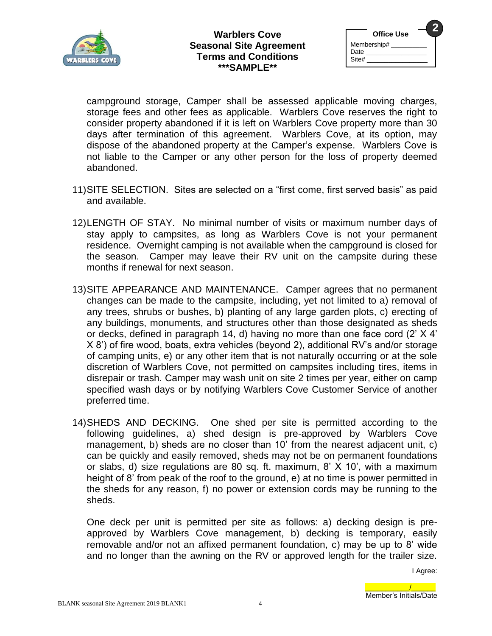

| <b>Office Use</b>            |  |
|------------------------------|--|
| Membership#<br>Date<br>Site# |  |
|                              |  |

campground storage, Camper shall be assessed applicable moving charges, storage fees and other fees as applicable. Warblers Cove reserves the right to consider property abandoned if it is left on Warblers Cove property more than 30 days after termination of this agreement. Warblers Cove, at its option, may dispose of the abandoned property at the Camper's expense. Warblers Cove is not liable to the Camper or any other person for the loss of property deemed abandoned.

- 11)SITE SELECTION. Sites are selected on a "first come, first served basis" as paid and available.
- 12)LENGTH OF STAY. No minimal number of visits or maximum number days of stay apply to campsites, as long as Warblers Cove is not your permanent residence. Overnight camping is not available when the campground is closed for the season. Camper may leave their RV unit on the campsite during these months if renewal for next season.
- 13)SITE APPEARANCE AND MAINTENANCE. Camper agrees that no permanent changes can be made to the campsite, including, yet not limited to a) removal of any trees, shrubs or bushes, b) planting of any large garden plots, c) erecting of any buildings, monuments, and structures other than those designated as sheds or decks, defined in paragraph 14, d) having no more than one face cord (2' X 4' X 8') of fire wood, boats, extra vehicles (beyond 2), additional RV's and/or storage of camping units, e) or any other item that is not naturally occurring or at the sole discretion of Warblers Cove, not permitted on campsites including tires, items in disrepair or trash. Camper may wash unit on site 2 times per year, either on camp specified wash days or by notifying Warblers Cove Customer Service of another preferred time.
- 14)SHEDS AND DECKING. One shed per site is permitted according to the following guidelines, a) shed design is pre-approved by Warblers Cove management, b) sheds are no closer than 10' from the nearest adjacent unit, c) can be quickly and easily removed, sheds may not be on permanent foundations or slabs, d) size regulations are 80 sq. ft. maximum, 8' X 10', with a maximum height of 8' from peak of the roof to the ground, e) at no time is power permitted in the sheds for any reason, f) no power or extension cords may be running to the sheds.

One deck per unit is permitted per site as follows: a) decking design is preapproved by Warblers Cove management, b) decking is temporary, easily removable and/or not an affixed permanent foundation, c) may be up to 8' wide and no longer than the awning on the RV or approved length for the trailer size.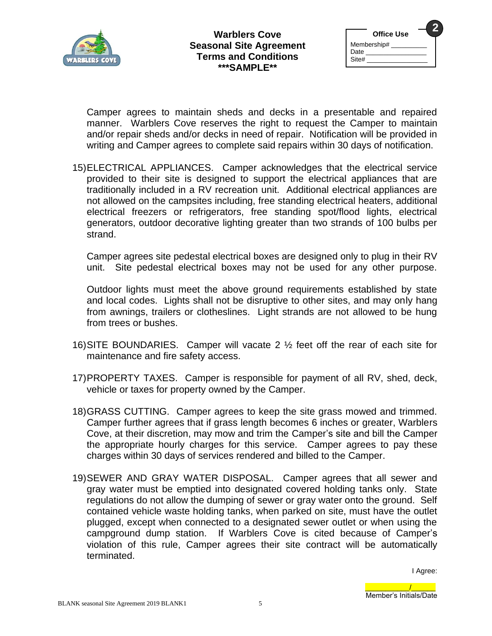

| <b>Office Use</b>            |  |
|------------------------------|--|
| Membership#<br>Date<br>Site# |  |

Camper agrees to maintain sheds and decks in a presentable and repaired manner. Warblers Cove reserves the right to request the Camper to maintain and/or repair sheds and/or decks in need of repair. Notification will be provided in writing and Camper agrees to complete said repairs within 30 days of notification.

15)ELECTRICAL APPLIANCES. Camper acknowledges that the electrical service provided to their site is designed to support the electrical appliances that are traditionally included in a RV recreation unit. Additional electrical appliances are not allowed on the campsites including, free standing electrical heaters, additional electrical freezers or refrigerators, free standing spot/flood lights, electrical generators, outdoor decorative lighting greater than two strands of 100 bulbs per strand.

Camper agrees site pedestal electrical boxes are designed only to plug in their RV unit. Site pedestal electrical boxes may not be used for any other purpose.

Outdoor lights must meet the above ground requirements established by state and local codes. Lights shall not be disruptive to other sites, and may only hang from awnings, trailers or clotheslines. Light strands are not allowed to be hung from trees or bushes.

- 16)SITE BOUNDARIES. Camper will vacate 2 ½ feet off the rear of each site for maintenance and fire safety access.
- 17)PROPERTY TAXES. Camper is responsible for payment of all RV, shed, deck, vehicle or taxes for property owned by the Camper.
- 18)GRASS CUTTING. Camper agrees to keep the site grass mowed and trimmed. Camper further agrees that if grass length becomes 6 inches or greater, Warblers Cove, at their discretion, may mow and trim the Camper's site and bill the Camper the appropriate hourly charges for this service. Camper agrees to pay these charges within 30 days of services rendered and billed to the Camper.
- 19)SEWER AND GRAY WATER DISPOSAL. Camper agrees that all sewer and gray water must be emptied into designated covered holding tanks only. State regulations do not allow the dumping of sewer or gray water onto the ground. Self contained vehicle waste holding tanks, when parked on site, must have the outlet plugged, except when connected to a designated sewer outlet or when using the campground dump station. If Warblers Cove is cited because of Camper's violation of this rule, Camper agrees their site contract will be automatically terminated.

I Agree:

\_\_\_\_\_\_\_\_\_\_\_/\_\_\_\_\_\_ Member's Initials/Date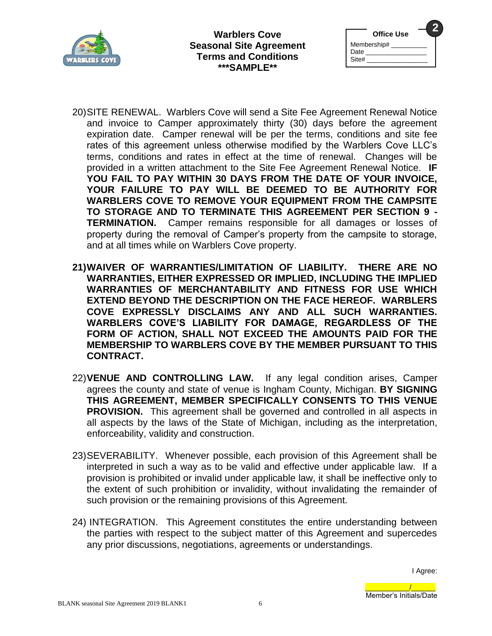

| <b>Office Use</b>            |  |
|------------------------------|--|
| Membership#<br>Date<br>Site# |  |

- 20)SITE RENEWAL. Warblers Cove will send a Site Fee Agreement Renewal Notice and invoice to Camper approximately thirty (30) days before the agreement expiration date. Camper renewal will be per the terms, conditions and site fee rates of this agreement unless otherwise modified by the Warblers Cove LLC's terms, conditions and rates in effect at the time of renewal. Changes will be provided in a written attachment to the Site Fee Agreement Renewal Notice. **IF YOU FAIL TO PAY WITHIN 30 DAYS FROM THE DATE OF YOUR INVOICE, YOUR FAILURE TO PAY WILL BE DEEMED TO BE AUTHORITY FOR WARBLERS COVE TO REMOVE YOUR EQUIPMENT FROM THE CAMPSITE TO STORAGE AND TO TERMINATE THIS AGREEMENT PER SECTION 9 - TERMINATION.** Camper remains responsible for all damages or losses of property during the removal of Camper's property from the campsite to storage, and at all times while on Warblers Cove property.
- **21)WAIVER OF WARRANTIES/LIMITATION OF LIABILITY. THERE ARE NO WARRANTIES, EITHER EXPRESSED OR IMPLIED, INCLUDING THE IMPLIED WARRANTIES OF MERCHANTABILITY AND FITNESS FOR USE WHICH EXTEND BEYOND THE DESCRIPTION ON THE FACE HEREOF. WARBLERS COVE EXPRESSLY DISCLAIMS ANY AND ALL SUCH WARRANTIES. WARBLERS COVE'S LIABILITY FOR DAMAGE, REGARDLESS OF THE FORM OF ACTION, SHALL NOT EXCEED THE AMOUNTS PAID FOR THE MEMBERSHIP TO WARBLERS COVE BY THE MEMBER PURSUANT TO THIS CONTRACT.**
- 22)**VENUE AND CONTROLLING LAW.** If any legal condition arises, Camper agrees the county and state of venue is Ingham County, Michigan. **BY SIGNING THIS AGREEMENT, MEMBER SPECIFICALLY CONSENTS TO THIS VENUE PROVISION.** This agreement shall be governed and controlled in all aspects in all aspects by the laws of the State of Michigan, including as the interpretation, enforceability, validity and construction.
- 23)SEVERABILITY. Whenever possible, each provision of this Agreement shall be interpreted in such a way as to be valid and effective under applicable law. If a provision is prohibited or invalid under applicable law, it shall be ineffective only to the extent of such prohibition or invalidity, without invalidating the remainder of such provision or the remaining provisions of this Agreement.
- 24) INTEGRATION. This Agreement constitutes the entire understanding between the parties with respect to the subject matter of this Agreement and supercedes any prior discussions, negotiations, agreements or understandings.

I Agree:

\_\_\_\_\_\_\_\_\_\_\_/\_\_\_\_\_\_ Member's Initials/Date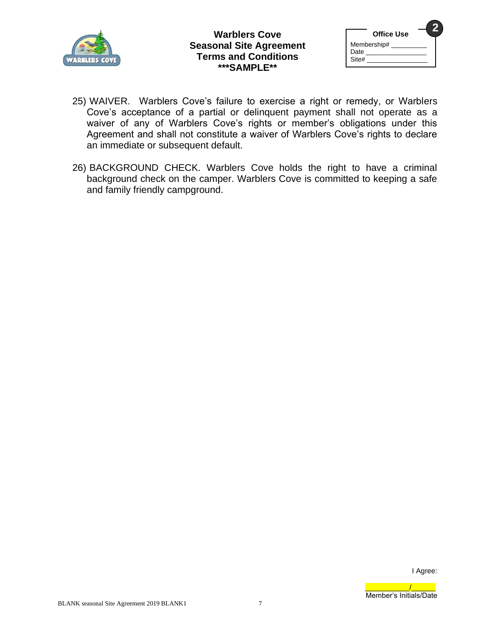

| <b>Office Use</b>            |  |
|------------------------------|--|
| Membership#<br>Date<br>Site# |  |

- 25) WAIVER. Warblers Cove's failure to exercise a right or remedy, or Warblers Cove's acceptance of a partial or delinquent payment shall not operate as a waiver of any of Warblers Cove's rights or member's obligations under this Agreement and shall not constitute a waiver of Warblers Cove's rights to declare an immediate or subsequent default.
- 26) BACKGROUND CHECK. Warblers Cove holds the right to have a criminal background check on the camper. Warblers Cove is committed to keeping a safe and family friendly campground.